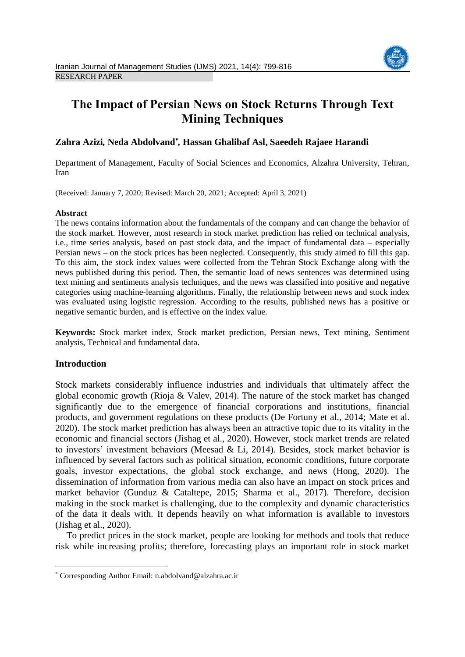

# **The Impact of Persian News on Stock Returns Through Text Mining Techniques**

# **Zahra Azizi***,* **Neda Abdolvand** *,* **Hassan Ghalibaf Asl, Saeedeh Rajaee Harandi**

Department of Management, Faculty of Social Sciences and Economics, Alzahra University, Tehran, Iran

(Received: January 7, 2020; Revised: March 20, 2021; Accepted: April 3, 2021)

# **Abstract**

The news contains information about the fundamentals of the company and can change the behavior of the stock market. However, most research in stock market prediction has relied on technical analysis, i.e., time series analysis, based on past stock data, and the impact of fundamental data – especially Persian news – on the stock prices has been neglected. Consequently, this study aimed to fill this gap. To this aim, the stock index values were collected from the Tehran Stock Exchange along with the news published during this period. Then, the semantic load of news sentences was determined using text mining and sentiments analysis techniques, and the news was classified into positive and negative categories using machine-learning algorithms. Finally, the relationship between news and stock index was evaluated using logistic regression. According to the results, published news has a positive or negative semantic burden, and is effective on the index value.

**Keywords:** Stock market index, Stock market prediction, Persian news, Text mining, Sentiment analysis, Technical and fundamental data.

# **Introduction**

 $\overline{a}$ 

Stock markets considerably influence industries and individuals that ultimately affect the global economic growth (Rioja & Valev, 2014). The nature of the stock market has changed significantly due to the emergence of financial corporations and institutions, financial products, and government regulations on these products (De Fortuny et al., 2014; Mate et al. 2020). The stock market prediction has always been an attractive topic due to its vitality in the economic and financial sectors (Jishag et al., 2020). However, stock market trends are related to investors' investment behaviors (Meesad & Li, 2014). Besides, stock market behavior is influenced by several factors such as political situation, economic conditions, future corporate goals, investor expectations, the global stock exchange, and news (Hong, 2020). The dissemination of information from various media can also have an impact on stock prices and market behavior (Gunduz & Cataltepe, 2015; Sharma et al., 2017). Therefore, decision making in the stock market is challenging, due to the complexity and dynamic characteristics of the data it deals with. It depends heavily on what information is available to investors (Jishag et al., 2020).

To predict prices in the stock market, people are looking for methods and tools that reduce risk while increasing profits; therefore, forecasting plays an important role in stock market

Corresponding Author Email: n.abdolvand@alzahra.ac.ir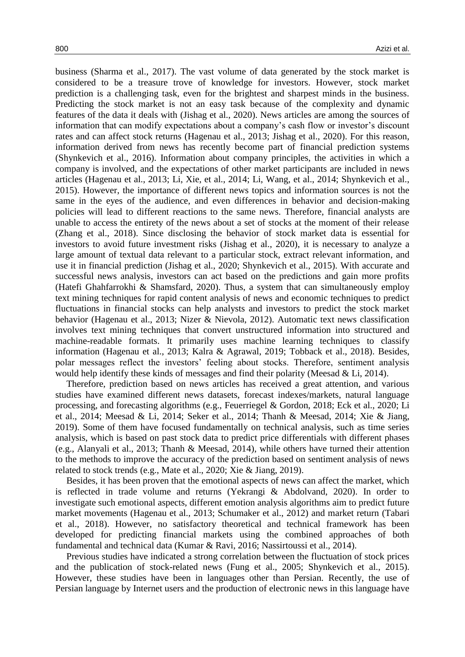business (Sharma et al., 2017). The vast volume of data generated by the stock market is considered to be a treasure trove of knowledge for investors. However, stock market prediction is a challenging task, even for the brightest and sharpest minds in the business. Predicting the stock market is not an easy task because of the complexity and dynamic features of the data it deals with (Jishag et al., 2020). News articles are among the sources of information that can modify expectations about a company's cash flow or investor's discount rates and can affect stock returns (Hagenau et al., 2013; Jishag et al., 2020). For this reason, information derived from news has recently become part of financial prediction systems (Shynkevich et al., 2016). Information about company principles, the activities in which a company is involved, and the expectations of other market participants are included in news articles (Hagenau et al., 2013; Li, Xie, et al., 2014; Li, Wang, et al., 2014; Shynkevich et al., 2015). However, the importance of different news topics and information sources is not the same in the eyes of the audience, and even differences in behavior and decision-making policies will lead to different reactions to the same news. Therefore, financial analysts are unable to access the entirety of the news about a set of stocks at the moment of their release (Zhang et al., 2018). Since disclosing the behavior of stock market data is essential for investors to avoid future investment risks (Jishag et al., 2020), it is necessary to analyze a large amount of textual data relevant to a particular stock, extract relevant information, and use it in financial prediction (Jishag et al., 2020; Shynkevich et al., 2015). With accurate and successful news analysis, investors can act based on the predictions and gain more profits (Hatefi Ghahfarrokhi & Shamsfard, 2020). Thus, a system that can simultaneously employ text mining techniques for rapid content analysis of news and economic techniques to predict fluctuations in financial stocks can help analysts and investors to predict the stock market behavior (Hagenau et al., 2013; Nizer & Nievola, 2012). Automatic text news classification involves text mining techniques that convert unstructured information into structured and machine-readable formats. It primarily uses machine learning techniques to classify information (Hagenau et al., 2013; Kalra & Agrawal, 2019; Tobback et al., 2018). Besides, polar messages reflect the investors' feeling about stocks. Therefore, sentiment analysis would help identify these kinds of messages and find their polarity (Meesad & Li, 2014).

Therefore, prediction based on news articles has received a great attention, and various studies have examined different news datasets, forecast indexes/markets, natural language processing, and forecasting algorithms (e.g., Feuerriegel & Gordon, 2018; Eck et al., 2020; Li et al., 2014; Meesad & Li, 2014; Seker et al., 2014; Thanh & Meesad, 2014; Xie & Jiang, 2019). Some of them have focused fundamentally on technical analysis, such as time series analysis, which is based on past stock data to predict price differentials with different phases (e.g., Alanyali et al., 2013; Thanh & Meesad, 2014), while others have turned their attention to the methods to improve the accuracy of the prediction based on sentiment analysis of news related to stock trends (e.g., Mate et al., 2020; Xie & Jiang, 2019).

Besides, it has been proven that the emotional aspects of news can affect the market, which is reflected in trade volume and returns (Yekrangi & Abdolvand, 2020). In order to investigate such emotional aspects, different emotion analysis algorithms aim to predict future market movements (Hagenau et al., 2013; Schumaker et al., 2012) and market return (Tabari et al., 2018). However, no satisfactory theoretical and technical framework has been developed for predicting financial markets using the combined approaches of both fundamental and technical data (Kumar & Ravi, 2016; Nassirtoussi et al., 2014).

Previous studies have indicated a strong correlation between the fluctuation of stock prices and the publication of stock-related news (Fung et al., 2005; Shynkevich et al., 2015). However, these studies have been in languages other than Persian. Recently, the use of Persian language by Internet users and the production of electronic news in this language have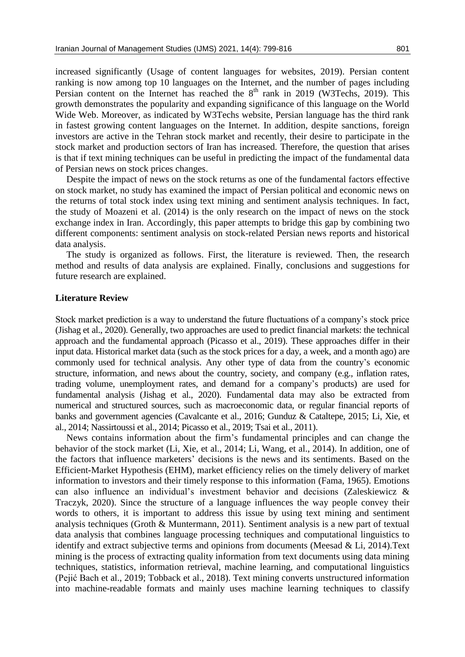increased significantly (Usage of content languages for websites, 2019). Persian content ranking is now among top 10 languages on the Internet, and the number of pages including Persian content on the Internet has reached the  $8<sup>th</sup>$  rank in 2019 (W3Techs, 2019). This growth demonstrates the popularity and expanding significance of this language on the World Wide Web. Moreover, as indicated by W3Techs website, Persian language has the third rank in fastest growing content languages on the Internet. In addition, despite sanctions, foreign investors are active in the Tehran stock market and recently, their desire to participate in the stock market and production sectors of Iran has increased. Therefore, the question that arises is that if text mining techniques can be useful in predicting the impact of the fundamental data of Persian news on stock prices changes.

Despite the impact of news on the stock returns as one of the fundamental factors effective on stock market, no study has examined the impact of Persian political and economic news on the returns of total stock index using text mining and sentiment analysis techniques. In fact, the study of Moazeni et al. (2014) is the only research on the impact of news on the stock exchange index in Iran. Accordingly, this paper attempts to bridge this gap by combining two different components: sentiment analysis on stock-related Persian news reports and historical data analysis.

The study is organized as follows. First, the literature is reviewed. Then, the research method and results of data analysis are explained. Finally, conclusions and suggestions for future research are explained.

## **Literature Review**

Stock market prediction is a way to understand the future fluctuations of a company's stock price (Jishag et al., 2020). Generally, two approaches are used to predict financial markets: the technical approach and the fundamental approach (Picasso et al., 2019). These approaches differ in their input data. Historical market data (such as the stock prices for a day, a week, and a month ago) are commonly used for technical analysis. Any other type of data from the country's economic structure, information, and news about the country, society, and company (e.g., inflation rates, trading volume, unemployment rates, and demand for a company's products) are used for fundamental analysis (Jishag et al., 2020). Fundamental data may also be extracted from numerical and structured sources, such as macroeconomic data, or regular financial reports of banks and government agencies (Cavalcante et al., 2016; Gunduz & Cataltepe, 2015; Li, Xie, et al., 2014; Nassirtoussi et al., 2014; Picasso et al., 2019; Tsai et al., 2011).

News contains information about the firm's fundamental principles and can change the behavior of the stock market (Li, Xie, et al., 2014; Li, Wang, et al., 2014). In addition, one of the factors that influence marketers' decisions is the news and its sentiments. Based on the Efficient-Market Hypothesis (EHM), market efficiency relies on the timely delivery of market information to investors and their timely response to this information (Fama, 1965). Emotions can also influence an individual's investment behavior and decisions (Zaleskiewicz & Traczyk, 2020). Since the structure of a language influences the way people convey their words to others, it is important to address this issue by using text mining and sentiment analysis techniques (Groth & Muntermann, 2011). Sentiment analysis is a new part of textual data analysis that combines language processing techniques and computational linguistics to identify and extract subjective terms and opinions from documents (Meesad & Li, 2014).Text mining is the process of extracting quality information from text documents using data mining techniques, statistics, information retrieval, machine learning, and computational linguistics (Pejić Bach et al., 2019; Tobback et al., 2018). Text mining converts unstructured information into machine-readable formats and mainly uses machine learning techniques to classify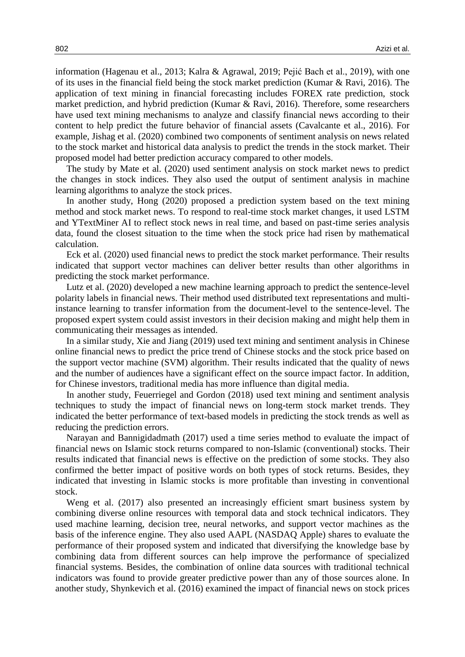information (Hagenau et al., 2013; Kalra & Agrawal, 2019; Pejić Bach et al., 2019), with one of its uses in the financial field being the stock market prediction (Kumar & Ravi, 2016). The application of text mining in financial forecasting includes FOREX rate prediction, stock market prediction, and hybrid prediction (Kumar & Ravi, 2016). Therefore, some researchers have used text mining mechanisms to analyze and classify financial news according to their content to help predict the future behavior of financial assets (Cavalcante et al., 2016). For example, Jishag et al. (2020) combined two components of sentiment analysis on news related to the stock market and historical data analysis to predict the trends in the stock market. Their proposed model had better prediction accuracy compared to other models.

The study by Mate et al. (2020) used sentiment analysis on stock market news to predict the changes in stock indices. They also used the output of sentiment analysis in machine learning algorithms to analyze the stock prices.

In another study, Hong (2020) proposed a prediction system based on the text mining method and stock market news. To respond to real-time stock market changes, it used LSTM and YTextMiner AI to reflect stock news in real time, and based on past-time series analysis data, found the closest situation to the time when the stock price had risen by mathematical calculation.

Eck et al. (2020) used financial news to predict the stock market performance. Their results indicated that support vector machines can deliver better results than other algorithms in predicting the stock market performance.

Lutz et al. (2020) developed a new machine learning approach to predict the sentence-level polarity labels in financial news. Their method used distributed text representations and multiinstance learning to transfer information from the document-level to the sentence-level. The proposed expert system could assist investors in their decision making and might help them in communicating their messages as intended.

In a similar study, Xie and Jiang (2019) used text mining and sentiment analysis in Chinese online financial news to predict the price trend of Chinese stocks and the stock price based on the support vector machine (SVM) algorithm. Their results indicated that the quality of news and the number of audiences have a significant effect on the source impact factor. In addition, for Chinese investors, traditional media has more influence than digital media.

In another study, Feuerriegel and Gordon (2018) used text mining and sentiment analysis techniques to study the impact of financial news on long-term stock market trends. They indicated the better performance of text-based models in predicting the stock trends as well as reducing the prediction errors.

Narayan and Bannigidadmath (2017) used a time series method to evaluate the impact of financial news on Islamic stock returns compared to non-Islamic (conventional) stocks. Their results indicated that financial news is effective on the prediction of some stocks. They also confirmed the better impact of positive words on both types of stock returns. Besides, they indicated that investing in Islamic stocks is more profitable than investing in conventional stock.

Weng et al. (2017) also presented an increasingly efficient smart business system by combining diverse online resources with temporal data and stock technical indicators. They used machine learning, decision tree, neural networks, and support vector machines as the basis of the inference engine. They also used AAPL (NASDAQ Apple) shares to evaluate the performance of their proposed system and indicated that diversifying the knowledge base by combining data from different sources can help improve the performance of specialized financial systems. Besides, the combination of online data sources with traditional technical indicators was found to provide greater predictive power than any of those sources alone. In another study, Shynkevich et al. (2016) examined the impact of financial news on stock prices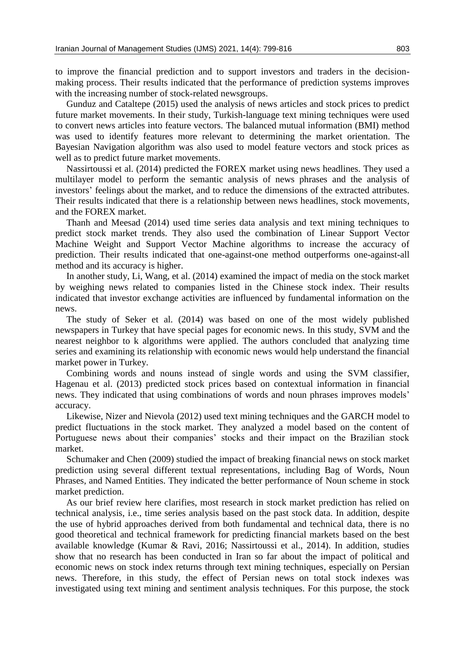to improve the financial prediction and to support investors and traders in the decisionmaking process. Their results indicated that the performance of prediction systems improves with the increasing number of stock-related newsgroups.

Gunduz and Cataltepe (2015) used the analysis of news articles and stock prices to predict future market movements. In their study, Turkish-language text mining techniques were used to convert news articles into feature vectors. The balanced mutual information (BMI) method was used to identify features more relevant to determining the market orientation. The Bayesian Navigation algorithm was also used to model feature vectors and stock prices as well as to predict future market movements.

Nassirtoussi et al. (2014) predicted the FOREX market using news headlines. They used a multilayer model to perform the semantic analysis of news phrases and the analysis of investors' feelings about the market, and to reduce the dimensions of the extracted attributes. Their results indicated that there is a relationship between news headlines, stock movements, and the FOREX market.

Thanh and Meesad (2014) used time series data analysis and text mining techniques to predict stock market trends. They also used the combination of Linear Support Vector Machine Weight and Support Vector Machine algorithms to increase the accuracy of prediction. Their results indicated that one-against-one method outperforms one-against-all method and its accuracy is higher.

In another study, Li, Wang, et al. (2014) examined the impact of media on the stock market by weighing news related to companies listed in the Chinese stock index. Their results indicated that investor exchange activities are influenced by fundamental information on the news.

The study of Seker et al. (2014) was based on one of the most widely published newspapers in Turkey that have special pages for economic news. In this study, SVM and the nearest neighbor to k algorithms were applied. The authors concluded that analyzing time series and examining its relationship with economic news would help understand the financial market power in Turkey.

Combining words and nouns instead of single words and using the SVM classifier, Hagenau et al. (2013) predicted stock prices based on contextual information in financial news. They indicated that using combinations of words and noun phrases improves models' accuracy.

Likewise, Nizer and Nievola (2012) used text mining techniques and the GARCH model to predict fluctuations in the stock market. They analyzed a model based on the content of Portuguese news about their companies' stocks and their impact on the Brazilian stock market.

Schumaker and Chen (2009) studied the impact of breaking financial news on stock market prediction using several different textual representations, including Bag of Words, Noun Phrases, and Named Entities. They indicated the better performance of Noun scheme in stock market prediction.

As our brief review here clarifies, most research in stock market prediction has relied on technical analysis, i.e., time series analysis based on the past stock data. In addition, despite the use of hybrid approaches derived from both fundamental and technical data, there is no good theoretical and technical framework for predicting financial markets based on the best available knowledge (Kumar & Ravi, 2016; Nassirtoussi et al., 2014). In addition, studies show that no research has been conducted in Iran so far about the impact of political and economic news on stock index returns through text mining techniques, especially on Persian news. Therefore, in this study, the effect of Persian news on total stock indexes was investigated using text mining and sentiment analysis techniques. For this purpose, the stock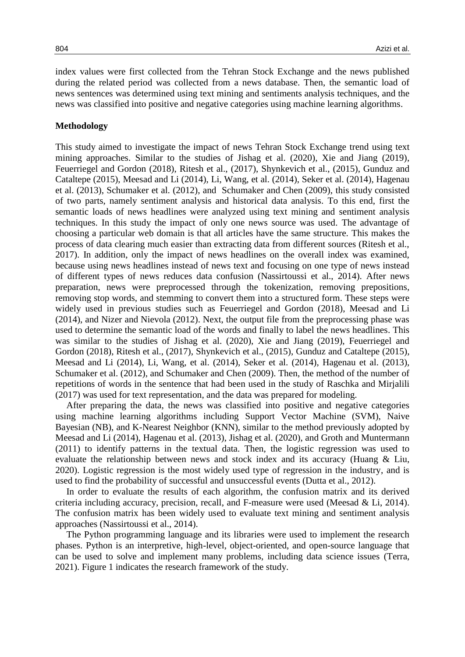index values were first collected from the Tehran Stock Exchange and the news published during the related period was collected from a news database. Then, the semantic load of news sentences was determined using text mining and sentiments analysis techniques, and the news was classified into positive and negative categories using machine learning algorithms.

# **Methodology**

This study aimed to investigate the impact of news Tehran Stock Exchange trend using text mining approaches. Similar to the studies of Jishag et al. (2020), Xie and Jiang (2019), Feuerriegel and Gordon (2018), Ritesh et al., (2017), Shynkevich et al., (2015), Gunduz and Cataltepe (2015), Meesad and Li (2014), Li, Wang, et al. (2014), Seker et al. (2014), Hagenau et al. (2013), Schumaker et al. (2012), and Schumaker and Chen (2009), this study consisted of two parts, namely sentiment analysis and historical data analysis. To this end, first the semantic loads of news headlines were analyzed using text mining and sentiment analysis techniques. In this study the impact of only one news source was used. The advantage of choosing a particular web domain is that all articles have the same structure. This makes the process of data clearing much easier than extracting data from different sources (Ritesh et al., 2017). In addition, only the impact of news headlines on the overall index was examined, because using news headlines instead of news text and focusing on one type of news instead of different types of news reduces data confusion (Nassirtoussi et al., 2014). After news preparation, news were preprocessed through the tokenization, removing prepositions, removing stop words, and stemming to convert them into a structured form. These steps were widely used in previous studies such as Feuerriegel and Gordon (2018), Meesad and Li (2014), and Nizer and Nievola (2012). Next, the output file from the preprocessing phase was used to determine the semantic load of the words and finally to label the news headlines. This was similar to the studies of Jishag et al. (2020), Xie and Jiang (2019), Feuerriegel and Gordon (2018), Ritesh et al., (2017), Shynkevich et al., (2015), Gunduz and Cataltepe (2015), Meesad and Li (2014), Li, Wang, et al. (2014), Seker et al. (2014), Hagenau et al. (2013), Schumaker et al. (2012), and Schumaker and Chen (2009). Then, the method of the number of repetitions of words in the sentence that had been used in the study of Raschka and Mirjalili (2017) was used for text representation, and the data was prepared for modeling.

After preparing the data, the news was classified into positive and negative categories using machine learning algorithms including Support Vector Machine (SVM), Naive Bayesian (NB), and K-Nearest Neighbor (KNN), similar to the method previously adopted by Meesad and Li (2014), Hagenau et al. (2013), Jishag et al. (2020), and Groth and Muntermann (2011) to identify patterns in the textual data. Then, the logistic regression was used to evaluate the relationship between news and stock index and its accuracy (Huang & Liu, 2020). Logistic regression is the most widely used type of regression in the industry, and is used to find the probability of successful and unsuccessful events (Dutta et al., 2012).

In order to evaluate the results of each algorithm, the confusion matrix and its derived criteria including accuracy, precision, recall, and F-measure were used (Meesad & Li, 2014). The confusion matrix has been widely used to evaluate text mining and sentiment analysis approaches (Nassirtoussi et al., 2014).

The Python programming language and its libraries were used to implement the research phases. Python is an interpretive, high-level, object-oriented, and open-source language that can be used to solve and implement many problems, including data science issues (Terra, 2021). Figure 1 indicates the research framework of the study.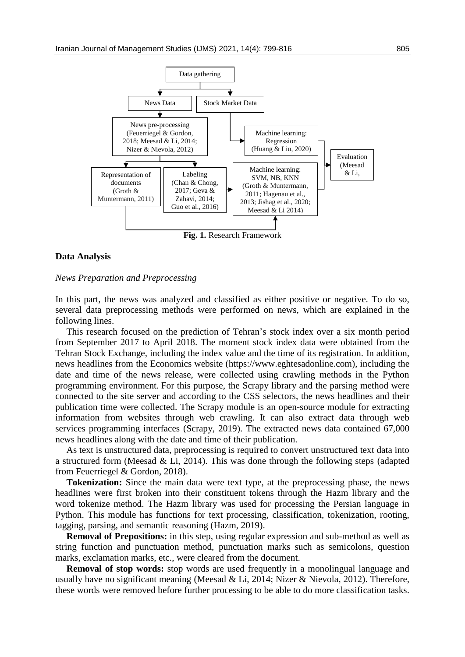

#### **Data Analysis**

#### *News Preparation and Preprocessing*

In this part, the news was analyzed and classified as either positive or negative. To do so, several data preprocessing methods were performed on news, which are explained in the following lines.

This research focused on the prediction of Tehran's stock index over a six month period from September 2017 to April 2018. The moment stock index data were obtained from the Tehran Stock Exchange, including the index value and the time of its registration. In addition, news headlines from the Economics website (https://www.eghtesadonline.com), including the date and time of the news release, were collected using crawling methods in the Python programming environment. For this purpose, the Scrapy library and the parsing method were connected to the site server and according to the CSS selectors, the news headlines and their publication time were collected. The Scrapy module is an open-source module for extracting information from websites through web crawling. It can also extract data through web services programming interfaces (Scrapy, 2019). The extracted news data contained 67,000 news headlines along with the date and time of their publication.

As text is unstructured data, preprocessing is required to convert unstructured text data into a structured form (Meesad & Li, 2014). This was done through the following steps (adapted from Feuerriegel & Gordon, 2018).

**Tokenization:** Since the main data were text type, at the preprocessing phase, the news headlines were first broken into their constituent tokens through the Hazm library and the word tokenize method. The Hazm library was used for processing the Persian language in Python. This module has functions for text processing, classification, tokenization, rooting, tagging, parsing, and semantic reasoning (Hazm, 2019).

**Removal of Prepositions:** in this step, using regular expression and sub-method as well as string function and punctuation method, punctuation marks such as semicolons, question marks, exclamation marks, etc., were cleared from the document.

**Removal of stop words:** stop words are used frequently in a monolingual language and usually have no significant meaning (Meesad & Li, 2014; Nizer & Nievola, 2012). Therefore, these words were removed before further processing to be able to do more classification tasks.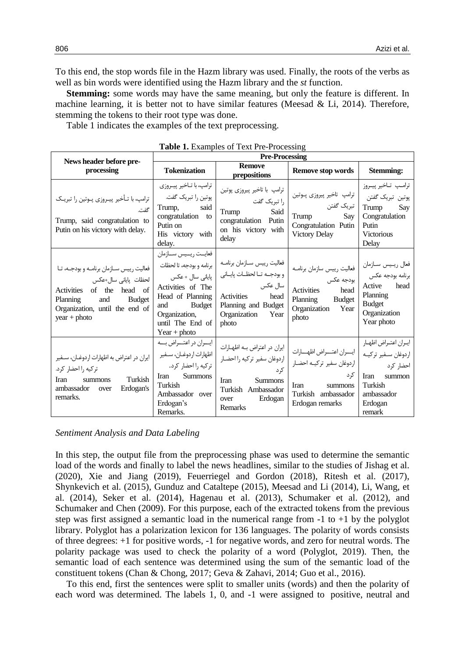To this end, the stop words file in the Hazm library was used. Finally, the roots of the verbs as well as bin words were identified using the Hazm library and the *st* function.

**Stemming:** some words may have the same meaning, but only the feature is different. In machine learning, it is better not to have similar features (Meesad  $&$  Li, 2014). Therefore, stemming the tokens to their root type was done.

Table 1 indicates the examples of the text preprocessing.

|                                                                                                                                                                                           | <b>Pre-Processing</b>                                                                                                                                                                           |                                                                                                                                                    |                                                                                                                                    |                                                                                                                        |  |
|-------------------------------------------------------------------------------------------------------------------------------------------------------------------------------------------|-------------------------------------------------------------------------------------------------------------------------------------------------------------------------------------------------|----------------------------------------------------------------------------------------------------------------------------------------------------|------------------------------------------------------------------------------------------------------------------------------------|------------------------------------------------------------------------------------------------------------------------|--|
| News header before pre-<br>processing                                                                                                                                                     | <b>Tokenization</b>                                                                                                                                                                             | <b>Remove</b><br>prepositions                                                                                                                      | <b>Remove stop words</b>                                                                                                           | <b>Stemming:</b>                                                                                                       |  |
| ترامپ، با تـأخیر پیـروزی پـوتین را تبریـک<br>گفت.<br>Trump, said congratulation to<br>Putin on his victory with delay.                                                                    | ترامپ، با تــاخير پيــروزي<br>پوتین را تبریک گفت.<br>Trump,<br>said<br>congratulation to<br>Putin on<br>His victory with<br>delay.                                                              | ترامپ با تاخیر پیروزی پوتین<br>  را تبریک گفت<br>Said<br>Trump<br>congratulation Putin<br>on his victory with<br>delay                             | ترامپ تاخیر پیروزی پــوتین<br>  تبريک گفتن<br>Trump<br>Say<br>Congratulation Putin<br><b>Victory Delay</b>                         | ترامپ تـاخير پيــروز<br>پوتين تبريک گفتن<br>Trump<br>Say<br>Congratulation<br>Putin<br><b>Victorious</b><br>Delay      |  |
| فعالیت رییس سـازمان برنامـه و بودجـه، تـا<br>لحظات پایانی سال+عکس<br>Activities of the<br>head of<br>and<br><b>Budget</b><br>Planning<br>Organization, until the end of<br>$year + photo$ | فعايــت ريــيس ســازمان<br>برنامه و بودجه، تا لحظات<br>پایانی سال + عکس<br>Activities of The<br>Head of Planning<br><b>Budget</b><br>and<br>Organization,<br>until The End of<br>$Year + photo$ | فعاليت رييس سـازمان برنامــه<br>وبودجـه تـالحظـات پايـانى<br>سال عکس<br>Activities<br>head<br>Planning and Budget<br>Organization<br>Year<br>photo | فعاليت رييس سازمان برنامـه<br>بودجه عكس<br><b>Activities</b><br>head<br>Planning<br><b>Budget</b><br>Organization<br>Year<br>photo | فعال ريـيس سـازمان<br>برنامه بودجه عكس<br>Active<br>head<br>Planning<br><b>Budget</b><br>Organization<br>Year photo    |  |
| ايران در اعتراض به اظهارات اردوغــان، ســفير<br>تركيه را احضار كرد.<br>Turkish<br><b>Iran</b><br>summons<br>ambassador<br>Erdogan's<br>over<br>remarks.                                   | ايسران در اعتسراض بسه<br>اظهارات اردوغـان، سـفير<br>تركيه را احضار كرد.<br><b>Summons</b><br><b>Iran</b><br>Turkish<br>Ambassador over<br>Erdogan's<br>Remarks.                                 | ایران در اعتراض به اظهارات<br>اردوغان سفير تركيه را احضـار<br>ک د<br>Iran<br><b>Summons</b><br>Turkish Ambassador<br>Erdogan<br>over<br>Remarks    | ايسران اعتسراض اظهسارات<br>اردوغان سفير تركيـه احضـار<br>کړ د<br>Iran<br>summons<br>Turkish ambassador<br>Erdogan remarks          | ايران اعتراض اظهار<br>اردوغان سفير تركيـه<br>احضار کرد<br>Iran<br>summon<br>Turkish<br>ambassador<br>Erdogan<br>remark |  |

| Table 1. Examples of Text Pre-Processing |  |  |
|------------------------------------------|--|--|
|------------------------------------------|--|--|

#### *Sentiment Analysis and Data Labeling*

In this step, the output file from the preprocessing phase was used to determine the semantic load of the words and finally to label the news headlines, similar to the studies of Jishag et al. (2020), Xie and Jiang (2019), Feuerriegel and Gordon (2018), Ritesh et al. (2017), Shynkevich et al. (2015), Gunduz and Cataltepe (2015), Meesad and Li (2014), Li, Wang, et al. (2014), Seker et al. (2014), Hagenau et al. (2013), Schumaker et al. (2012), and Schumaker and Chen (2009). For this purpose, each of the extracted tokens from the previous step was first assigned a semantic load in the numerical range from -1 to +1 by the polyglot library. Polyglot has a polarization lexicon for 136 languages. The polarity of words consists of three degrees: +1 for positive words, -1 for negative words, and zero for neutral words. The polarity package was used to check the polarity of a word (Polyglot, 2019). Then, the semantic load of each sentence was determined using the sum of the semantic load of the constituent tokens (Chan & Chong, 2017; Geva & Zahavi, 2014; Guo et al., 2016).

To this end, first the sentences were split to smaller units (words) and then the polarity of each word was determined. The labels 1, 0, and -1 were assigned to positive, neutral and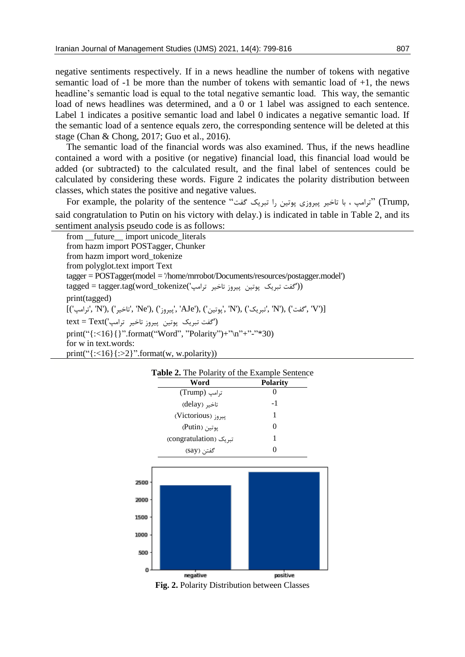negative sentiments respectively. If in a news headline the number of tokens with negative semantic load of -1 be more than the number of tokens with semantic load of +1, the news headline's semantic load is equal to the total negative semantic load. This way, the semantic load of news headlines was determined, and a 0 or 1 label was assigned to each sentence. Label 1 indicates a positive semantic load and label 0 indicates a negative semantic load. If the semantic load of a sentence equals zero, the corresponding sentence will be deleted at this stage (Chan & Chong, 2017; Guo et al., 2016).

The semantic load of the financial words was also examined. Thus, if the news headline contained a word with a positive (or negative) financial load, this financial load would be added (or subtracted) to the calculated result, and the final label of sentences could be calculated by considering these words. Figure 2 indicates the polarity distribution between classes, which states the positive and negative values.

For example, the polarity of the sentence "ترامپ ، با تاخیر پیروزی پوتین را تبریک گفت " said congratulation to Putin on his victory with delay.) is indicated in table in Table 2, and its sentiment analysis pseudo code is as follows:

| from __future__ import unicode_literals                                                               |
|-------------------------------------------------------------------------------------------------------|
| from hazm import POSTagger, Chunker                                                                   |
| from hazm import word_tokenize                                                                        |
| from polyglot.text import Text                                                                        |
| $tagger = POSTager (model = /home/mrrobot/Documents/resources/postagger.model')$                      |
| tagged = tagger.tag(word_tokenize('گفت تبریک یوتین پیروز تاخیر ترامپ')                                |
| print(tagged)                                                                                         |
| [('v', 'c'خير', 'N'), ('تاخير', 'Ne'), ('ييروز', 'AJe'), ('يوتين', 'N'), ('تاخير', 'N'), ('تافير', 'N |
| ('گفت تبریک یوتین پیروز تاخیر ترامپ')text = Text                                                      |
| print("{:<16}{}".format("Word", "Polarity")+"\n"+"-"*30)                                              |
| for w in text words:                                                                                  |
| $print("{\div}2]^$ . format(w, w.polarity))                                                           |

| Table 2. The Polarity of the Example Sentence |                 |  |  |  |
|-----------------------------------------------|-----------------|--|--|--|
| Word                                          | <b>Polarity</b> |  |  |  |
| ترامپ (Trump)                                 |                 |  |  |  |
| تاخیر (delay)                                 | $-1$            |  |  |  |
| ییروز (Victorious)                            | 1               |  |  |  |
| یوتین (Putin)                                 | 0               |  |  |  |
| تبریک (congratulation)                        | 1               |  |  |  |
| گفتن (say)                                    | 0               |  |  |  |



**Fig. 2.** Polarity Distribution between Classes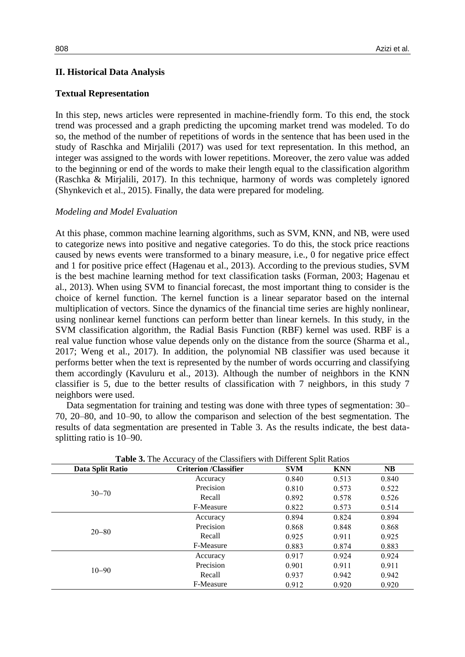## **II. Historical Data Analysis**

### **Textual Representation**

In this step, news articles were represented in machine-friendly form. To this end, the stock trend was processed and a graph predicting the upcoming market trend was modeled. To do so, the method of the number of repetitions of words in the sentence that has been used in the study of Raschka and Mirjalili (2017) was used for text representation. In this method, an integer was assigned to the words with lower repetitions. Moreover, the zero value was added to the beginning or end of the words to make their length equal to the classification algorithm (Raschka & Mirjalili, 2017). In this technique, harmony of words was completely ignored (Shynkevich et al., 2015). Finally, the data were prepared for modeling.

#### *Modeling and Model Evaluation*

At this phase, common machine learning algorithms, such as SVM, KNN, and NB, were used to categorize news into positive and negative categories. To do this, the stock price reactions caused by news events were transformed to a binary measure, i.e., 0 for negative price effect and 1 for positive price effect (Hagenau et al., 2013). According to the previous studies, SVM is the best machine learning method for text classification tasks (Forman, 2003; Hagenau et al., 2013). When using SVM to financial forecast, the most important thing to consider is the choice of kernel function. The kernel function is a linear separator based on the internal multiplication of vectors. Since the dynamics of the financial time series are highly nonlinear, using nonlinear kernel functions can perform better than linear kernels. In this study, in the SVM classification algorithm, the Radial Basis Function (RBF) kernel was used. RBF is a real value function whose value depends only on the distance from the source (Sharma et al., 2017; Weng et al., 2017). In addition, the polynomial NB classifier was used because it performs better when the text is represented by the number of words occurring and classifying them accordingly (Kavuluru et al., 2013). Although the number of neighbors in the KNN classifier is 5, due to the better results of classification with 7 neighbors, in this study 7 neighbors were used.

Data segmentation for training and testing was done with three types of segmentation: 30– 70, 20–80, and 10–90, to allow the comparison and selection of the best segmentation. The results of data segmentation are presented in Table 3. As the results indicate, the best datasplitting ratio is 10–90.

| Data Split Ratio | <b>Criterion /Classifier</b> | <b>SVM</b> | <b>KNN</b> | <b>NB</b> |
|------------------|------------------------------|------------|------------|-----------|
|                  | Accuracy                     | 0.840      | 0.513      | 0.840     |
|                  | Precision                    | 0.810      | 0.573      | 0.522     |
| $30 - 70$        | Recall                       | 0.892      | 0.578      | 0.526     |
|                  | F-Measure                    | 0.822      | 0.573      | 0.514     |
|                  | Accuracy                     | 0.894      | 0.824      | 0.894     |
|                  | Precision                    | 0.868      | 0.848      | 0.868     |
| $20 - 80$        | Recall                       | 0.925      | 0.911      | 0.925     |
|                  | F-Measure                    | 0.883      | 0.874      | 0.883     |
|                  | Accuracy                     | 0.917      | 0.924      | 0.924     |
|                  | Precision                    | 0.901      | 0.911      | 0.911     |
| $10 - 90$        | Recall                       | 0.937      | 0.942      | 0.942     |
|                  | F-Measure                    | 0.912      | 0.920      | 0.920     |

**Table 3.** The Accuracy of the Classifiers with Different Split Ratios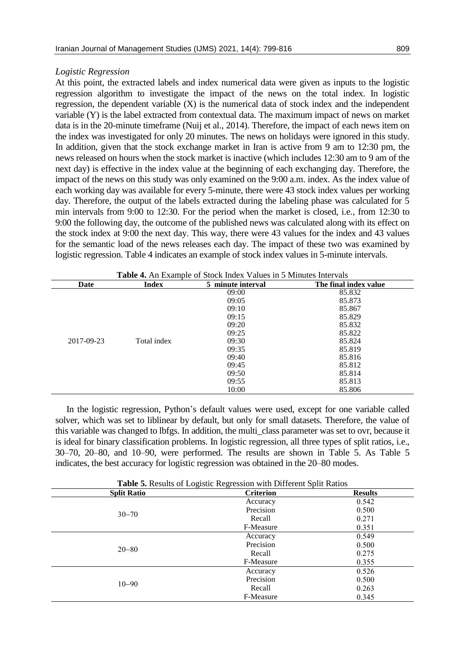#### *Logistic Regression*

At this point, the extracted labels and index numerical data were given as inputs to the logistic regression algorithm to investigate the impact of the news on the total index. In logistic regression, the dependent variable (X) is the numerical data of stock index and the independent variable (Y) is the label extracted from contextual data. The maximum impact of news on market data is in the 20-minute timeframe (Nuij et al., 2014). Therefore, the impact of each news item on the index was investigated for only 20 minutes. The news on holidays were ignored in this study. In addition, given that the stock exchange market in Iran is active from 9 am to 12:30 pm, the news released on hours when the stock market is inactive (which includes 12:30 am to 9 am of the next day) is effective in the index value at the beginning of each exchanging day. Therefore, the impact of the news on this study was only examined on the 9:00 a.m. index. As the index value of each working day was available for every 5-minute, there were 43 stock index values per working day. Therefore, the output of the labels extracted during the labeling phase was calculated for 5 min intervals from 9:00 to 12:30. For the period when the market is closed, i.e., from 12:30 to 9:00 the following day, the outcome of the published news was calculated along with its effect on the stock index at 9:00 the next day. This way, there were 43 values for the index and 43 values for the semantic load of the news releases each day. The impact of these two was examined by logistic regression. Table 4 indicates an example of stock index values in 5-minute intervals.

| Date       | <b>Index</b> | 5 minute interval | The final index value |
|------------|--------------|-------------------|-----------------------|
|            |              | 09:00             | 85.832                |
|            |              | 09:05             | 85.873                |
|            |              | 09:10             | 85.867                |
|            |              | 09:15             | 85.829                |
|            |              | 09:20             | 85.832                |
|            |              | 09:25             | 85.822                |
| 2017-09-23 | Total index  | 09:30             | 85.824                |
|            |              | 09:35             | 85.819                |
|            |              | 09:40             | 85.816                |
|            |              | 09:45             | 85.812                |
|            |              | 09:50             | 85.814                |
|            |              | 09:55             | 85.813                |
|            |              | 10:00             | 85.806                |

**Table 4.** An Example of Stock Index Values in 5 Minutes Intervals

In the logistic regression, Python's default values were used, except for one variable called solver, which was set to liblinear by default, but only for small datasets. Therefore, the value of this variable was changed to lbfgs. In addition, the multi\_class parameter was set to ovr, because it is ideal for binary classification problems. In logistic regression, all three types of split ratios, i.e., 30–70, 20–80, and 10–90, were performed. The results are shown in Table 5. As Table 5 indicates, the best accuracy for logistic regression was obtained in the 20–80 modes.

| <b>Split Ratio</b> | <b>Criterion</b> | <b>Results</b> |
|--------------------|------------------|----------------|
|                    | Accuracy         | 0.542          |
| $30 - 70$          | Precision        | 0.500          |
|                    | Recall           | 0.271          |
|                    | F-Measure        | 0.351          |
|                    | Accuracy         | 0.549          |
| $20 - 80$          | Precision        | 0.500          |
|                    | Recall           | 0.275          |
|                    | F-Measure        | 0.355          |
|                    | Accuracy         | 0.526          |
| $10 - 90$          | Precision        | 0.500          |
|                    | Recall           | 0.263          |
|                    | F-Measure        | 0.345          |

**Table 5.** Results of Logistic Regression with Different Split Ratios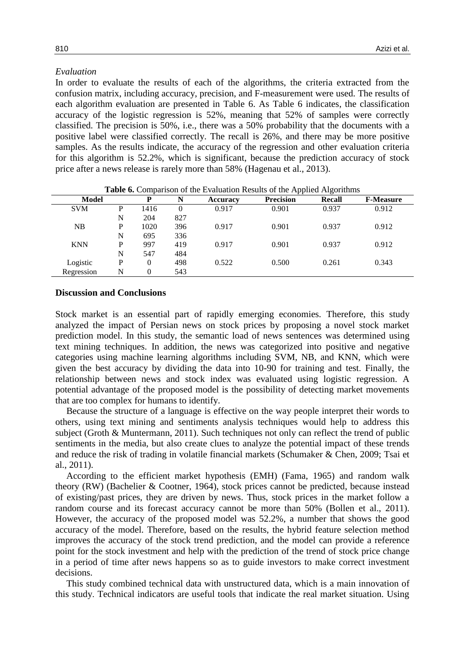# *Evaluation*

In order to evaluate the results of each of the algorithms, the criteria extracted from the confusion matrix, including accuracy, precision, and F-measurement were used. The results of each algorithm evaluation are presented in Table 6. As Table 6 indicates, the classification accuracy of the logistic regression is 52%, meaning that 52% of samples were correctly classified. The precision is 50%, i.e., there was a 50% probability that the documents with a positive label were classified correctly. The recall is 26%, and there may be more positive samples. As the results indicate, the accuracy of the regression and other evaluation criteria for this algorithm is 52.2%, which is significant, because the prediction accuracy of stock price after a news release is rarely more than 58% (Hagenau et al., 2013).

| <b>Model</b> |   | P        | N   | <b>Accuracy</b> | <b>Thore</b> of Comparison of the Evaluation Results of the <i>explose engormants</i><br><b>Precision</b> | Recall | <b>F-Measure</b> |
|--------------|---|----------|-----|-----------------|-----------------------------------------------------------------------------------------------------------|--------|------------------|
| <b>SVM</b>   | P | 1416     |     | 0.917           | 0.901                                                                                                     | 0.937  | 0.912            |
|              | N | 204      | 827 |                 |                                                                                                           |        |                  |
| NB           | P | 1020     | 396 | 0.917           | 0.901                                                                                                     | 0.937  | 0.912            |
|              | N | 695      | 336 |                 |                                                                                                           |        |                  |
| <b>KNN</b>   | P | 997      | 419 | 0.917           | 0.901                                                                                                     | 0.937  | 0.912            |
|              | N | 547      | 484 |                 |                                                                                                           |        |                  |
| Logistic     | P | $\theta$ | 498 | 0.522           | 0.500                                                                                                     | 0.261  | 0.343            |
| Regression   | N | 0        | 543 |                 |                                                                                                           |        |                  |

**Table 6.** Comparison of the Evaluation Results of the Applied Algorithms

## **Discussion and Conclusions**

Stock market is an essential part of rapidly emerging economies. Therefore, this study analyzed the impact of Persian news on stock prices by proposing a novel stock market prediction model. In this study, the semantic load of news sentences was determined using text mining techniques. In addition, the news was categorized into positive and negative categories using machine learning algorithms including SVM, NB, and KNN, which were given the best accuracy by dividing the data into 10-90 for training and test. Finally, the relationship between news and stock index was evaluated using logistic regression. A potential advantage of the proposed model is the possibility of detecting market movements that are too complex for humans to identify.

Because the structure of a language is effective on the way people interpret their words to others, using text mining and sentiments analysis techniques would help to address this subject (Groth & Muntermann, 2011). Such techniques not only can reflect the trend of public sentiments in the media, but also create clues to analyze the potential impact of these trends and reduce the risk of trading in volatile financial markets (Schumaker & Chen, 2009; Tsai et al., 2011).

According to the efficient market hypothesis (EMH) (Fama, 1965) and random walk theory (RW) (Bachelier & Cootner, 1964), stock prices cannot be predicted, because instead of existing/past prices, they are driven by news. Thus, stock prices in the market follow a random course and its forecast accuracy cannot be more than 50% (Bollen et al., 2011). However, the accuracy of the proposed model was 52.2%, a number that shows the good accuracy of the model. Therefore, based on the results, the hybrid feature selection method improves the accuracy of the stock trend prediction, and the model can provide a reference point for the stock investment and help with the prediction of the trend of stock price change in a period of time after news happens so as to guide investors to make correct investment decisions.

This study combined technical data with unstructured data, which is a main innovation of this study. Technical indicators are useful tools that indicate the real market situation. Using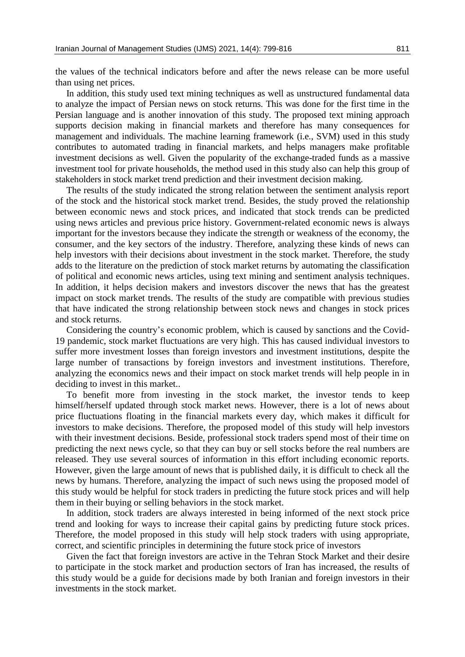the values of the technical indicators before and after the news release can be more useful than using net prices.

In addition, this study used text mining techniques as well as unstructured fundamental data to analyze the impact of Persian news on stock returns. This was done for the first time in the Persian language and is another innovation of this study. The proposed text mining approach supports decision making in financial markets and therefore has many consequences for management and individuals. The machine learning framework (i.e., SVM) used in this study contributes to automated trading in financial markets, and helps managers make profitable investment decisions as well. Given the popularity of the exchange-traded funds as a massive investment tool for private households, the method used in this study also can help this group of stakeholders in stock market trend prediction and their investment decision making.

The results of the study indicated the strong relation between the sentiment analysis report of the stock and the historical stock market trend. Besides, the study proved the relationship between economic news and stock prices, and indicated that stock trends can be predicted using news articles and previous price history. Government-related economic news is always important for the investors because they indicate the strength or weakness of the economy, the consumer, and the key sectors of the industry. Therefore, analyzing these kinds of news can help investors with their decisions about investment in the stock market. Therefore, the study adds to the literature on the prediction of stock market returns by automating the classification of political and economic news articles, using text mining and sentiment analysis techniques. In addition, it helps decision makers and investors discover the news that has the greatest impact on stock market trends. The results of the study are compatible with previous studies that have indicated the strong relationship between stock news and changes in stock prices and stock returns.

Considering the country's economic problem, which is caused by sanctions and the Covid-19 pandemic, stock market fluctuations are very high. This has caused individual investors to suffer more investment losses than foreign investors and investment institutions, despite the large number of transactions by foreign investors and investment institutions. Therefore, analyzing the economics news and their impact on stock market trends will help people in in deciding to invest in this market..

To benefit more from investing in the stock market, the investor tends to keep himself/herself updated through stock market news. However, there is a lot of news about price fluctuations floating in the financial markets every day, which makes it difficult for investors to make decisions. Therefore, the proposed model of this study will help investors with their investment decisions. Beside, professional stock traders spend most of their time on predicting the next news cycle, so that they can buy or sell stocks before the real numbers are released. They use several sources of information in this effort including economic reports. However, given the large amount of news that is published daily, it is difficult to check all the news by humans. Therefore, analyzing the impact of such news using the proposed model of this study would be helpful for stock traders in predicting the future stock prices and will help them in their buying or selling behaviors in the stock market.

In addition, stock traders are always interested in being informed of the next stock price trend and looking for ways to increase their capital gains by predicting future stock prices. Therefore, the model proposed in this study will help stock traders with using appropriate, correct, and scientific principles in determining the future stock price of investors

Given the fact that foreign investors are active in the Tehran Stock Market and their desire to participate in the stock market and production sectors of Iran has increased, the results of this study would be a guide for decisions made by both Iranian and foreign investors in their investments in the stock market.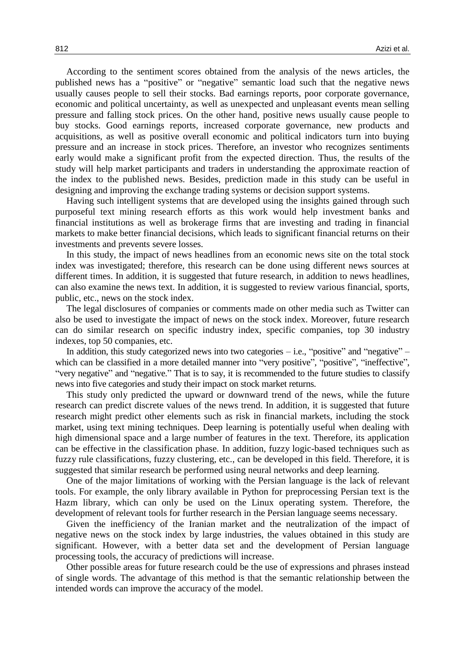According to the sentiment scores obtained from the analysis of the news articles, the published news has a "positive" or "negative" semantic load such that the negative news usually causes people to sell their stocks. Bad earnings reports, poor corporate governance, economic and political uncertainty, as well as unexpected and unpleasant events mean selling pressure and falling stock prices. On the other hand, positive news usually cause people to buy stocks. Good earnings reports, increased corporate governance, new products and acquisitions, as well as positive overall economic and political indicators turn into buying pressure and an increase in stock prices. Therefore, an investor who recognizes sentiments early would make a significant profit from the expected direction. Thus, the results of the study will help market participants and traders in understanding the approximate reaction of the index to the published news. Besides, prediction made in this study can be useful in designing and improving the exchange trading systems or decision support systems.

Having such intelligent systems that are developed using the insights gained through such purposeful text mining research efforts as this work would help investment banks and financial institutions as well as brokerage firms that are investing and trading in financial markets to make better financial decisions, which leads to significant financial returns on their investments and prevents severe losses.

In this study, the impact of news headlines from an economic news site on the total stock index was investigated; therefore, this research can be done using different news sources at different times. In addition, it is suggested that future research, in addition to news headlines, can also examine the news text. In addition, it is suggested to review various financial, sports, public, etc., news on the stock index.

The legal disclosures of companies or comments made on other media such as Twitter can also be used to investigate the impact of news on the stock index. Moreover, future research can do similar research on specific industry index, specific companies, top 30 industry indexes, top 50 companies, etc.

In addition, this study categorized news into two categories  $-$  i.e., "positive" and "negative"  $$ which can be classified in a more detailed manner into "very positive", "positive", "ineffective", "very negative" and "negative." That is to say, it is recommended to the future studies to classify news into five categories and study their impact on stock market returns.

This study only predicted the upward or downward trend of the news, while the future research can predict discrete values of the news trend. In addition, it is suggested that future research might predict other elements such as risk in financial markets, including the stock market, using text mining techniques. Deep learning is potentially useful when dealing with high dimensional space and a large number of features in the text. Therefore, its application can be effective in the classification phase. In addition, fuzzy logic-based techniques such as fuzzy rule classifications, fuzzy clustering, etc., can be developed in this field. Therefore, it is suggested that similar research be performed using neural networks and deep learning.

One of the major limitations of working with the Persian language is the lack of relevant tools. For example, the only library available in Python for preprocessing Persian text is the Hazm library, which can only be used on the Linux operating system. Therefore, the development of relevant tools for further research in the Persian language seems necessary.

Given the inefficiency of the Iranian market and the neutralization of the impact of negative news on the stock index by large industries, the values obtained in this study are significant. However, with a better data set and the development of Persian language processing tools, the accuracy of predictions will increase.

Other possible areas for future research could be the use of expressions and phrases instead of single words. The advantage of this method is that the semantic relationship between the intended words can improve the accuracy of the model.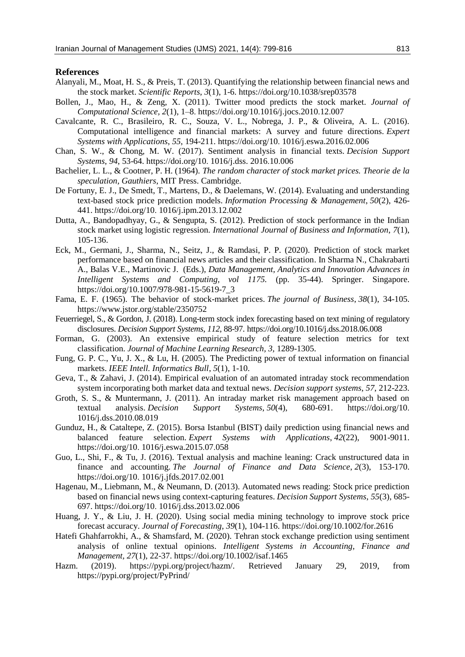#### **References**

- Alanyali, M., Moat, H. S., & Preis, T. (2013). Quantifying the relationship between financial news and the stock market. *Scientific Reports*, *3*(1), 1-6. https://doi.org/10.1038/srep03578
- Bollen, J., Mao, H., & Zeng, X. (2011). Twitter mood predicts the stock market. *Journal of Computational Science, 2*(1), 1–8. https://doi.org/10.1016/j.jocs.2010.12.007
- Cavalcante, R. C., Brasileiro, R. C., Souza, V. L., Nobrega, J. P., & Oliveira, A. L. (2016). Computational intelligence and financial markets: A survey and future directions. *Expert Systems with Applications*, *55*, 194-211. https://doi.org/10. 1016/j.eswa.2016.02.006
- Chan, S. W., & Chong, M. W. (2017). Sentiment analysis in financial texts. *Decision Support Systems*, *94*, 53-64. https://doi.org/10. 1016/j.dss. 2016.10.006
- Bachelier, L. L., & Cootner, P. H. (1964). *The random character of stock market prices. Theorie de la speculation, Gauthiers*, MIT Press. Cambridge.
- De Fortuny, E. J., De Smedt, T., Martens, D., & Daelemans, W. (2014). Evaluating and understanding text-based stock price prediction models. *Information Processing & Management*, *50*(2), 426- 441. https://doi.org/10. 1016/j.ipm.2013.12.002
- Dutta, A., Bandopadhyay, G., & Sengupta, S. (2012). Prediction of stock performance in the Indian stock market using logistic regression. *International Journal of Business and Information*, *7*(1), 105-136.
- Eck, M., Germani, J., Sharma, N., Seitz, J., & Ramdasi, P. P. (2020). Prediction of stock market performance based on financial news articles and their classification. In Sharma N., Chakrabarti A., Balas V.E., Martinovic J. (Eds.), *Data Management, Analytics and Innovation Advances in Intelligent Systems and Computing, vol 1175.* (pp. 35-44). Springer. Singapore. https://doi.org/10.1007/978-981-15-5619-7\_3
- Fama, E. F. (1965). The behavior of stock-market prices. *The journal of Business*, *38*(1), 34-105. https://www.jstor.org/stable/2350752
- Feuerriegel, S., & Gordon, J. (2018). Long-term stock index forecasting based on text mining of regulatory disclosures. *Decision Support Systems*, *112*, 88-97. https://doi.org/10.1016/j.dss.2018.06.008
- Forman, G. (2003). An extensive empirical study of feature selection metrics for text classification. *Journal of Machine Learning Research, 3,* 1289-1305.
- Fung, G. P. C., Yu, J. X., & Lu, H. (2005). The Predicting power of textual information on financial markets. *IEEE Intell. Informatics Bull*, *5*(1), 1-10.
- Geva, T., & Zahavi, J. (2014). Empirical evaluation of an automated intraday stock recommendation system incorporating both market data and textual news. *Decision support systems*, *57*, 212-223.
- Groth, S. S., & Muntermann, J. (2011). An intraday market risk management approach based on textual analysis. *Decision Support Systems*, *50*(4), 680-691. https://doi.org/10. 1016/j.dss.2010.08.019
- Gunduz, H., & Cataltepe, Z. (2015). Borsa Istanbul (BIST) daily prediction using financial news and balanced feature selection. *Expert Systems with Applications*, *42*(22), 9001-9011. https://doi.org/10. 1016/j.eswa.2015.07.058
- Guo, L., Shi, F., & Tu, J. (2016). Textual analysis and machine leaning: Crack unstructured data in finance and accounting. *The Journal of Finance and Data Science*, *2*(3), 153-170. https://doi.org/10. 1016/j.jfds.2017.02.001
- Hagenau, M., Liebmann, M., & Neumann, D. (2013). Automated news reading: Stock price prediction based on financial news using context-capturing features. *Decision Support Systems*, *55*(3), 685- 697. https://doi.org/10. 1016/j.dss.2013.02.006
- Huang, J. Y., & Liu, J. H. (2020). Using social media mining technology to improve stock price forecast accuracy. *Journal of Forecasting*, *39*(1), 104-116. https://doi.org/10.1002/for.2616
- Hatefi Ghahfarrokhi, A., & Shamsfard, M. (2020). Tehran stock exchange prediction using sentiment analysis of online textual opinions. *Intelligent Systems in Accounting, Finance and Management, 27*(1), 22-37. https://doi.org/10.1002/isaf.1465
- Hazm. (2019). https://pypi.org/project/hazm/. Retrieved January 29, 2019, from https://pypi.org/project/PyPrind/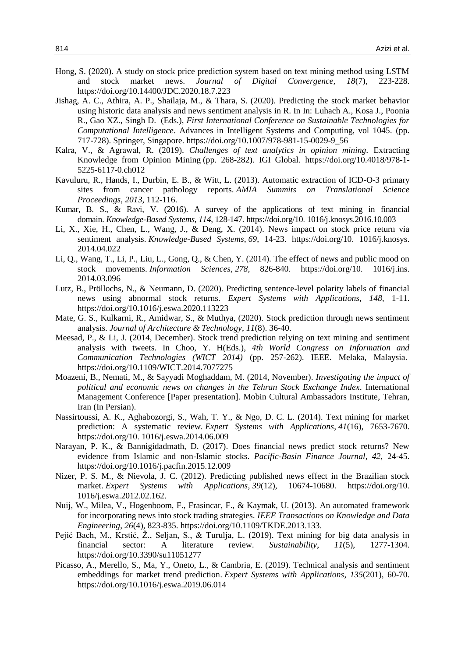- Hong, S. (2020). A study on stock price prediction system based on text mining method using LSTM and stock market news. *Journal of Digital Convergence, 18*(7), 223-228. https://doi.org/10.14400/JDC.2020.18.7.223
- Jishag, A. C., Athira, A. P., Shailaja, M., & Thara, S. (2020). Predicting the stock market behavior using historic data analysis and news sentiment analysis in R. In In: Luhach A., Kosa J., Poonia R., Gao XZ., Singh D. (Eds.), *First International Conference on Sustainable Technologies for Computational Intelligence*. Advances in Intelligent Systems and Computing, vol 1045. (pp. 717-728). Springer, Singapore. https://doi.org/10.1007/978-981-15-0029-9\_56
- Kalra, V., & Agrawal, R. (2019). *Challenges of text analytics in opinion mining.* Extracting Knowledge from Opinion Mining (pp. 268-282). IGI Global. https://doi.org/10.4018/978-1- 5225-6117-0.ch012
- Kavuluru, R., Hands, I., Durbin, E. B., & Witt, L. (2013). Automatic extraction of ICD-O-3 primary sites from cancer pathology reports. *AMIA Summits on Translational Science Proceedings*, *2013*, 112-116.
- Kumar, B. S., & Ravi, V. (2016). A survey of the applications of text mining in financial domain. *Knowledge-Based Systems*, *114*, 128-147. https://doi.org/10. 1016/j.knosys.2016.10.003
- Li, X., Xie, H., Chen, L., Wang, J., & Deng, X. (2014). News impact on stock price return via sentiment analysis. *Knowledge-Based Systems*, *69*, 14-23. https://doi.org/10. 1016/j.knosys. 2014.04.022
- Li, Q., Wang, T., Li, P., Liu, L., Gong, Q., & Chen, Y. (2014). The effect of news and public mood on stock movements. *Information Sciences*, *278*, 826-840. https://doi.org/10. 1016/j.ins. 2014.03.096
- Lutz, B., Pröllochs, N., & Neumann, D. (2020). Predicting sentence-level polarity labels of financial news using abnormal stock returns. *Expert Systems with Applications, 148,* 1-11. https://doi.org/10.1016/j.eswa.2020.113223
- Mate, G. S., Kulkarni, R., Amidwar, S., & Muthya, (2020). Stock prediction through news sentiment analysis. *Journal of Architecture & Technology*, *11*(8). 36-40.
- Meesad, P., & Li, J. (2014, December). Stock trend prediction relying on text mining and sentiment analysis with tweets. In Choo, Y. H(Eds.), *4th World Congress on Information and Communication Technologies (WICT 2014)* (pp. 257-262). IEEE. Melaka, Malaysia. https://doi.org/10.1109/WICT.2014.7077275
- Moazeni, B., Nemati, M., & Sayyadi Moghaddam, M. (2014, November). *Investigating the impact of political and economic news on changes in the Tehran Stock Exchange Index*. International Management Conference [Paper presentation]. Mobin Cultural Ambassadors Institute, Tehran, Iran (In Persian).
- Nassirtoussi, A. K., Aghabozorgi, S., Wah, T. Y., & Ngo, D. C. L. (2014). Text mining for market prediction: A systematic review. *Expert Systems with Applications*, *41*(16), 7653-7670. https://doi.org/10. 1016/j.eswa.2014.06.009
- Narayan, P. K., & Bannigidadmath, D. (2017). Does financial news predict stock returns? New evidence from Islamic and non-Islamic stocks. *Pacific-Basin Finance Journal, 42,* 24-45. https://doi.org/10.1016/j.pacfin.2015.12.009
- Nizer, P. S. M., & Nievola, J. C. (2012). Predicting published news effect in the Brazilian stock market. *Expert Systems with Applications*, *39*(12), 10674-10680. https://doi.org/10. 1016/j.eswa.2012.02.162.
- Nuij, W., Milea, V., Hogenboom, F., Frasincar, F., & Kaymak, U. (2013). An automated framework for incorporating news into stock trading strategies. *IEEE Transactions on Knowledge and Data Engineering*, *26*(4), 823-835. https://doi.org/10.1109/TKDE.2013.133.
- Pejić Bach, M., Krstić, Ž., Seljan, S., & Turulja, L. (2019). Text mining for big data analysis in financial sector: A literature review. *Sustainability*, *11*(5), 1277-1304. https://doi.org/10.3390/su11051277
- Picasso, A., Merello, S., Ma, Y., Oneto, L., & Cambria, E. (2019). Technical analysis and sentiment embeddings for market trend prediction. *Expert Systems with Applications*, *135*(201), 60-70. https://doi.org/10.1016/j.eswa.2019.06.014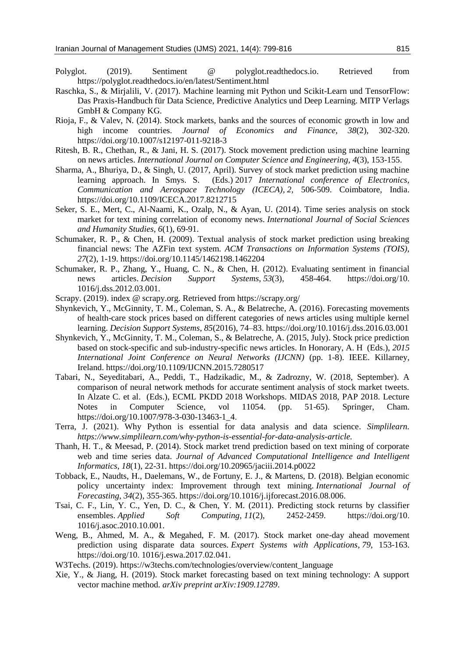- Polyglot. (2019). Sentiment @ polyglot.readthedocs.io. Retrieved from https://polyglot.readthedocs.io/en/latest/Sentiment.html
- Raschka, S., & Mirjalili, V. (2017). Machine learning mit Python und Scikit-Learn und TensorFlow: Das Praxis-Handbuch für Data Science, Predictive Analytics und Deep Learning. MITP Verlags GmbH & Company KG.
- Rioja, F., & Valev, N. (2014). Stock markets, banks and the sources of economic growth in low and high income countries. *Journal of Economics and Finance, 38*(2), 302-320. https://doi.org/10.1007/s12197-011-9218-3
- Ritesh, B. R., Chethan, R., & Jani, H. S. (2017). Stock movement prediction using machine learning on news articles. *International Journal on Computer Science and Engineering*, *4*(3), 153-155.
- Sharma, A., Bhuriya, D., & Singh, U. (2017, April). Survey of stock market prediction using machine learning approach. In Smys. S. (Eds.) 2017 *International conference of Electronics, Communication and Aerospace Technology (ICECA), 2,* 506-509. Coimbatore, India. https://doi.org/10.1109/ICECA.2017.8212715
- Seker, S. E., Mert, C., Al-Naami, K., Ozalp, N., & Ayan, U. (2014). Time series analysis on stock market for text mining correlation of economy news. *International Journal of Social Sciences and Humanity Studies*, *6*(1), 69-91.
- Schumaker, R. P., & Chen, H. (2009). Textual analysis of stock market prediction using breaking financial news: The AZFin text system. *ACM Transactions on Information Systems (TOIS), 27*(2), 1-19. https://doi.org/10.1145/1462198.1462204
- Schumaker, R. P., Zhang, Y., Huang, C. N., & Chen, H. (2012). Evaluating sentiment in financial news articles. *Decision Support Systems*, *53*(3), 458-464. https://doi.org/10. 1016/j.dss.2012.03.001.
- Scrapy. (2019). index @ scrapy.org. Retrieved from https://scrapy.org/
- Shynkevich, Y., McGinnity, T. M., Coleman, S. A., & Belatreche, A. (2016). Forecasting movements of health-care stock prices based on different categories of news articles using multiple kernel learning. *Decision Support Systems*, *85*(2016), 74–83. https://doi.org/10.1016/j.dss.2016.03.001
- Shynkevich, Y., McGinnity, T. M., Coleman, S., & Belatreche, A. (2015, July). Stock price prediction based on stock-specific and sub-industry-specific news articles. In Honorary, A. H (Eds.), *2015 International Joint Conference on Neural Networks (IJCNN)* (pp. 1-8). IEEE. Killarney, Ireland. https://doi.org/10.1109/IJCNN.2015.7280517
- Tabari, N., Seyeditabari, A., Peddi, T., Hadzikadic, M., & Zadrozny, W. (2018, September). A comparison of neural network methods for accurate sentiment analysis of stock market tweets. In Alzate C. et al. (Eds.), ECML PKDD 2018 Workshops. MIDAS 2018, PAP 2018. Lecture Notes in Computer Science, vol 11054. (pp. 51-65). Springer, Cham. https://doi.org/10.1007/978-3-030-13463-1\_4.
- Terra, J. (2021). Why Python is essential for data analysis and data science. *Simplilearn. https://www.simplilearn.com/why-python-is-essential-for-data-analysis-article.*
- Thanh, H. T., & Meesad, P. (2014). Stock market trend prediction based on text mining of corporate web and time series data. *Journal of Advanced Computational Intelligence and Intelligent Informatics*, *18*(1), 22-31. https://doi.org/10.20965/jaciii.2014.p0022
- Tobback, E., Naudts, H., Daelemans, W., de Fortuny, E. J., & Martens, D. (2018). Belgian economic policy uncertainty index: Improvement through text mining. *International Journal of Forecasting*, *34*(2), 355-365. https://doi.org/10.1016/j.ijforecast.2016.08.006.
- Tsai, C. F., Lin, Y. C., Yen, D. C., & Chen, Y. M. (2011). Predicting stock returns by classifier ensembles. *Applied Soft Computing*, *11*(2), 2452-2459. https://doi.org/10. 1016/j.asoc.2010.10.001.
- Weng, B., Ahmed, M. A., & Megahed, F. M. (2017). Stock market one-day ahead movement prediction using disparate data sources. *Expert Systems with Applications*, *79*, 153-163. https://doi.org/10. 1016/j.eswa.2017.02.041.
- W3Techs. (2019). https://w3techs.com/technologies/overview/content\_language
- Xie, Y., & Jiang, H. (2019). Stock market forecasting based on text mining technology: A support vector machine method. *arXiv preprint arXiv:1909.12789*.